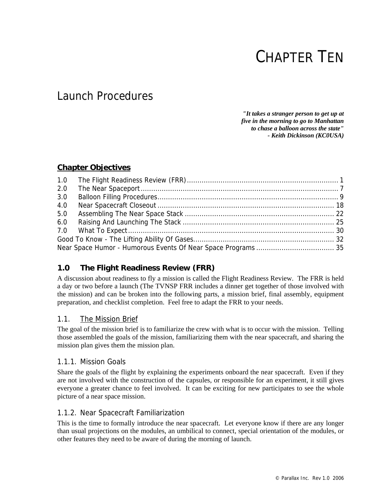# CHAPTER TEN

## Launch Procedures

*"It takes a stranger person to get up at five in the morning to go to Manhattan to chase a balloon across the state" - Keith Dickinson (KC0USA)* 

## **Chapter Objectives**

| 2.0 |  |
|-----|--|
| 3.0 |  |
| 4.0 |  |
| 5.0 |  |
| 6.0 |  |
|     |  |
|     |  |
|     |  |

## **1.0 The Flight Readiness Review (FRR)**

A discussion about readiness to fly a mission is called the Flight Readiness Review. The FRR is held a day or two before a launch (The TVNSP FRR includes a dinner get together of those involved with the mission) and can be broken into the following parts, a mission brief, final assembly, equipment preparation, and checklist completion. Feel free to adapt the FRR to your needs.

## 1.1. The Mission Brief

The goal of the mission brief is to familiarize the crew with what is to occur with the mission. Telling those assembled the goals of the mission, familiarizing them with the near spacecraft, and sharing the mission plan gives them the mission plan.

## 1.1.1. Mission Goals

Share the goals of the flight by explaining the experiments onboard the near spacecraft. Even if they are not involved with the construction of the capsules, or responsible for an experiment, it still gives everyone a greater chance to feel involved. It can be exciting for new participates to see the whole picture of a near space mission.

## 1.1.2. Near Spacecraft Familiarization

This is the time to formally introduce the near spacecraft. Let everyone know if there are any longer than usual projections on the modules, an umbilical to connect, special orientation of the modules, or other features they need to be aware of during the morning of launch.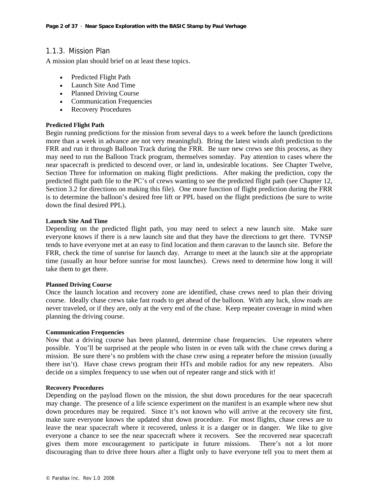## 1.1.3. Mission Plan

A mission plan should brief on at least these topics.

- Predicted Flight Path
- Launch Site And Time
- Planned Driving Course
- Communication Frequencies
- Recovery Procedures

#### **Predicted Flight Path**

Begin running predictions for the mission from several days to a week before the launch (predictions more than a week in advance are not very meaningful). Bring the latest winds aloft prediction to the FRR and run it through Balloon Track during the FRR. Be sure new crews see this process, as they may need to run the Balloon Track program, themselves someday. Pay attention to cases where the near spacecraft is predicted to descend over, or land in, undesirable locations. See Chapter Twelve, Section Three for information on making flight predictions. After making the prediction, copy the predicted flight path file to the PC's of crews wanting to see the predicted flight path (see Chapter 12, Section 3.2 for directions on making this file). One more function of flight prediction during the FRR is to determine the balloon's desired free lift or PPL based on the flight predictions (be sure to write down the final desired PPL).

#### **Launch Site And Time**

Depending on the predicted flight path, you may need to select a new launch site. Make sure everyone knows if there is a new launch site and that they have the directions to get there. TVNSP tends to have everyone met at an easy to find location and them caravan to the launch site. Before the FRR, check the time of sunrise for launch day. Arrange to meet at the launch site at the appropriate time (usually an hour before sunrise for most launches). Crews need to determine how long it will take them to get there.

#### **Planned Driving Course**

Once the launch location and recovery zone are identified, chase crews need to plan their driving course. Ideally chase crews take fast roads to get ahead of the balloon. With any luck, slow roads are never traveled, or if they are, only at the very end of the chase. Keep repeater coverage in mind when planning the driving course.

#### **Communication Frequencies**

Now that a driving course has been planned, determine chase frequencies. Use repeaters where possible. You'll be surprised at the people who listen in or even talk with the chase crews during a mission. Be sure there's no problem with the chase crew using a repeater before the mission (usually there isn't). Have chase crews program their HTs and mobile radios for any new repeaters. Also decide on a simplex frequency to use when out of repeater range and stick with it!

#### **Recovery Procedures**

Depending on the payload flown on the mission, the shut down procedures for the near spacecraft may change. The presence of a life science experiment on the manifest is an example where new shut down procedures may be required. Since it's not known who will arrive at the recovery site first, make sure everyone knows the updated shut down procedure. For most flights, chase crews are to leave the near spacecraft where it recovered, unless it is a danger or in danger. We like to give everyone a chance to see the near spacecraft where it recovers. See the recovered near spacecraft gives them more encouragement to participate in future missions. There's not a lot more discouraging than to drive three hours after a flight only to have everyone tell you to meet them at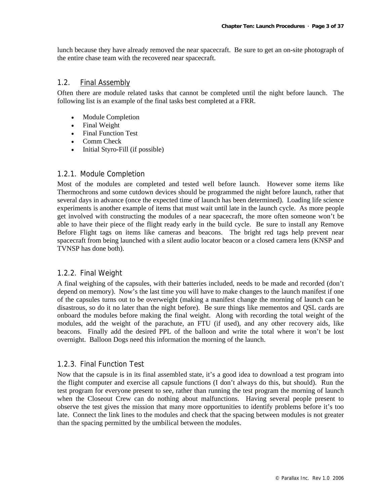lunch because they have already removed the near spacecraft. Be sure to get an on-site photograph of the entire chase team with the recovered near spacecraft.

### 1.2. Final Assembly

Often there are module related tasks that cannot be completed until the night before launch. The following list is an example of the final tasks best completed at a FRR.

- Module Completion
- Final Weight
- Final Function Test
- Comm Check
- Initial Styro-Fill (if possible)

#### 1.2.1. Module Completion

Most of the modules are completed and tested well before launch. However some items like Thermochrons and some cutdown devices should be programmed the night before launch, rather that several days in advance (once the expected time of launch has been determined). Loading life science experiments is another example of items that must wait until late in the launch cycle. As more people get involved with constructing the modules of a near spacecraft, the more often someone won't be able to have their piece of the flight ready early in the build cycle. Be sure to install any Remove Before Flight tags on items like cameras and beacons. The bright red tags help prevent near spacecraft from being launched with a silent audio locator beacon or a closed camera lens (KNSP and TVNSP has done both).

## 1.2.2. Final Weight

A final weighing of the capsules, with their batteries included, needs to be made and recorded (don't depend on memory). Now's the last time you will have to make changes to the launch manifest if one of the capsules turns out to be overweight (making a manifest change the morning of launch can be disastrous, so do it no later than the night before). Be sure things like mementos and QSL cards are onboard the modules before making the final weight. Along with recording the total weight of the modules, add the weight of the parachute, an FTU (if used), and any other recovery aids, like beacons. Finally add the desired PPL of the balloon and write the total where it won't be lost overnight. Balloon Dogs need this information the morning of the launch.

## 1.2.3. Final Function Test

Now that the capsule is in its final assembled state, it's a good idea to download a test program into the flight computer and exercise all capsule functions (I don't always do this, but should). Run the test program for everyone present to see, rather than running the test program the morning of launch when the Closeout Crew can do nothing about malfunctions. Having several people present to observe the test gives the mission that many more opportunities to identify problems before it's too late. Connect the link lines to the modules and check that the spacing between modules is not greater than the spacing permitted by the umbilical between the modules.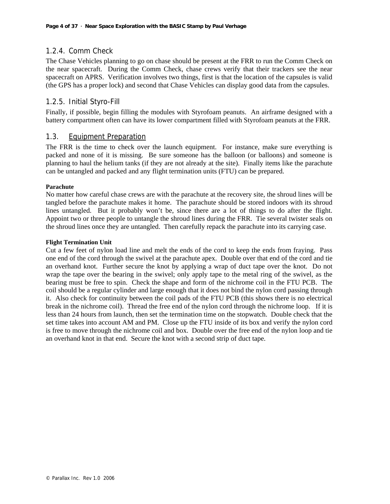## 1.2.4. Comm Check

The Chase Vehicles planning to go on chase should be present at the FRR to run the Comm Check on the near spacecraft. During the Comm Check, chase crews verify that their trackers see the near spacecraft on APRS. Verification involves two things, first is that the location of the capsules is valid (the GPS has a proper lock) and second that Chase Vehicles can display good data from the capsules.

## 1.2.5. Initial Styro-Fill

Finally, if possible, begin filling the modules with Styrofoam peanuts. An airframe designed with a battery compartment often can have its lower compartment filled with Styrofoam peanuts at the FRR.

## 1.3. Equipment Preparation

The FRR is the time to check over the launch equipment. For instance, make sure everything is packed and none of it is missing. Be sure someone has the balloon (or balloons) and someone is planning to haul the helium tanks (if they are not already at the site). Finally items like the parachute can be untangled and packed and any flight termination units (FTU) can be prepared.

#### **Parachute**

No matter how careful chase crews are with the parachute at the recovery site, the shroud lines will be tangled before the parachute makes it home. The parachute should be stored indoors with its shroud lines untangled. But it probably won't be, since there are a lot of things to do after the flight. Appoint two or three people to untangle the shroud lines during the FRR. Tie several twister seals on the shroud lines once they are untangled. Then carefully repack the parachute into its carrying case.

#### **Flight Termination Unit**

Cut a few feet of nylon load line and melt the ends of the cord to keep the ends from fraying. Pass one end of the cord through the swivel at the parachute apex. Double over that end of the cord and tie an overhand knot. Further secure the knot by applying a wrap of duct tape over the knot. Do not wrap the tape over the bearing in the swivel; only apply tape to the metal ring of the swivel, as the bearing must be free to spin. Check the shape and form of the nichrome coil in the FTU PCB. The coil should be a regular cylinder and large enough that it does not bind the nylon cord passing through it. Also check for continuity between the coil pads of the FTU PCB (this shows there is no electrical break in the nichrome coil). Thread the free end of the nylon cord through the nichrome loop. If it is less than 24 hours from launch, then set the termination time on the stopwatch. Double check that the set time takes into account AM and PM. Close up the FTU inside of its box and verify the nylon cord is free to move through the nichrome coil and box. Double over the free end of the nylon loop and tie an overhand knot in that end. Secure the knot with a second strip of duct tape.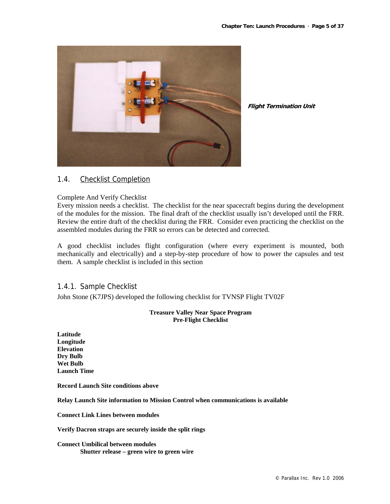

**Flight Termination Unit**

## 1.4. Checklist Completion

#### Complete And Verify Checklist

Every mission needs a checklist. The checklist for the near spacecraft begins during the development of the modules for the mission. The final draft of the checklist usually isn't developed until the FRR. Review the entire draft of the checklist during the FRR. Consider even practicing the checklist on the assembled modules during the FRR so errors can be detected and corrected.

A good checklist includes flight configuration (where every experiment is mounted, both mechanically and electrically) and a step-by-step procedure of how to power the capsules and test them. A sample checklist is included in this section

1.4.1. Sample Checklist

John Stone (K7JPS) developed the following checklist for TVNSP Flight TV02F

#### **Treasure Valley Near Space Program Pre-Flight Checklist**

**Latitude Longitude Elevation Dry Bulb Wet Bulb Launch Time** 

**Record Launch Site conditions above** 

**Relay Launch Site information to Mission Control when communications is available** 

**Connect Link Lines between modules** 

**Verify Dacron straps are securely inside the split rings** 

**Connect Umbilical between modules Shutter release – green wire to green wire**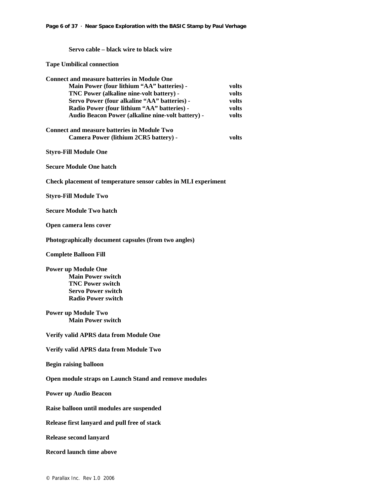**Servo cable – black wire to black wire** 

**Tape Umbilical connection** 

| <b>Connect and measure batteries in Module One</b>                                          |       |
|---------------------------------------------------------------------------------------------|-------|
| Main Power (four lithium "AA" batteries) -                                                  | volts |
| TNC Power (alkaline nine-volt battery) -                                                    | volts |
| Servo Power (four alkaline "AA" batteries) -                                                | volts |
| Radio Power (four lithium "AA" batteries) -                                                 | volts |
| Audio Beacon Power (alkaline nine-volt battery) -                                           | volts |
| <b>Connect and measure batteries in Module Two</b><br>Camera Power (lithium 2CR5 battery) - | volts |
| <b>Styro-Fill Module One</b>                                                                |       |
| <b>Secure Module One hatch</b>                                                              |       |
| Check placement of temperature sensor cables in MLI experiment                              |       |
| <b>Styro-Fill Module Two</b>                                                                |       |
| <b>Secure Module Two hatch</b>                                                              |       |
| Open camera lens cover                                                                      |       |
| Photographically document capsules (from two angles)                                        |       |
| <b>Complete Balloon Fill</b>                                                                |       |
| <b>Power up Module One</b>                                                                  |       |
| <b>Main Power switch</b>                                                                    |       |
| <b>TNC Power switch</b>                                                                     |       |
| <b>Servo Power switch</b>                                                                   |       |
| <b>Radio Power switch</b>                                                                   |       |
| <b>Power up Module Two</b>                                                                  |       |
| <b>Main Power switch</b>                                                                    |       |
|                                                                                             |       |
| Verify valid APRS data from Module One                                                      |       |
| Verify valid APRS data from Module Two                                                      |       |
| <b>Begin raising balloon</b>                                                                |       |
| Open module straps on Launch Stand and remove modules                                       |       |
| <b>Power up Audio Beacon</b>                                                                |       |
| Raise balloon until modules are suspended                                                   |       |
| Release first lanyard and pull free of stack                                                |       |
| Release second lanyard                                                                      |       |
| <b>Record launch time above</b>                                                             |       |
|                                                                                             |       |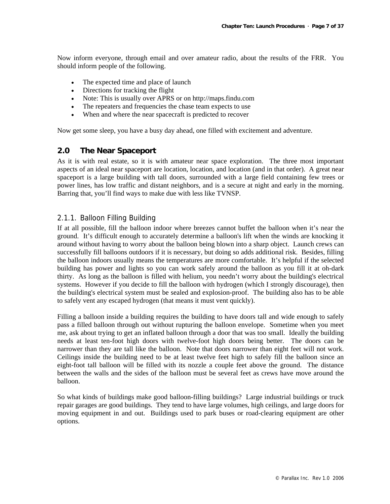Now inform everyone, through email and over amateur radio, about the results of the FRR. You should inform people of the following.

- The expected time and place of launch
- Directions for tracking the flight
- Note: This is usually over APRS or on http://maps.findu.com
- The repeaters and frequencies the chase team expects to use
- When and where the near spacecraft is predicted to recover

Now get some sleep, you have a busy day ahead, one filled with excitement and adventure.

## **2.0 The Near Spaceport**

As it is with real estate, so it is with amateur near space exploration. The three most important aspects of an ideal near spaceport are location, location, and location (and in that order). A great near spaceport is a large building with tall doors, surrounded with a large field containing few trees or power lines, has low traffic and distant neighbors, and is a secure at night and early in the morning. Barring that, you'll find ways to make due with less like TVNSP.

## 2.1.1. Balloon Filling Building

If at all possible, fill the balloon indoor where breezes cannot buffet the balloon when it's near the ground. It's difficult enough to accurately determine a balloon's lift when the winds are knocking it around without having to worry about the balloon being blown into a sharp object. Launch crews can successfully fill balloons outdoors if it is necessary, but doing so adds additional risk. Besides, filling the balloon indoors usually means the temperatures are more comfortable. It's helpful if the selected building has power and lights so you can work safely around the balloon as you fill it at oh-dark thirty. As long as the balloon is filled with helium, you needn't worry about the building's electrical systems. However if you decide to fill the balloon with hydrogen (which I strongly discourage), then the building's electrical system must be sealed and explosion-proof. The building also has to be able to safely vent any escaped hydrogen (that means it must vent quickly).

Filling a balloon inside a building requires the building to have doors tall and wide enough to safely pass a filled balloon through out without rupturing the balloon envelope. Sometime when you meet me, ask about trying to get an inflated balloon through a door that was too small. Ideally the building needs at least ten-foot high doors with twelve-foot high doors being better. The doors can be narrower than they are tall like the balloon. Note that doors narrower than eight feet will not work. Ceilings inside the building need to be at least twelve feet high to safely fill the balloon since an eight-foot tall balloon will be filled with its nozzle a couple feet above the ground. The distance between the walls and the sides of the balloon must be several feet as crews have move around the balloon.

So what kinds of buildings make good balloon-filling buildings? Large industrial buildings or truck repair garages are good buildings. They tend to have large volumes, high ceilings, and large doors for moving equipment in and out. Buildings used to park buses or road-clearing equipment are other options.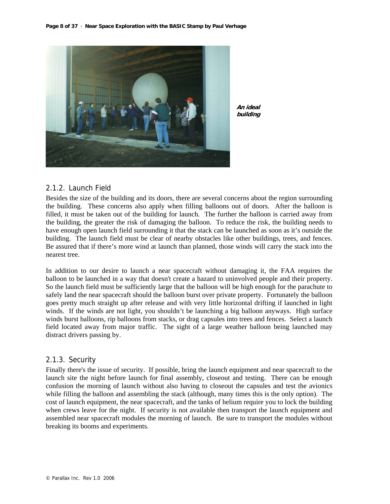

**An ideal building**

## 2.1.2. Launch Field

Besides the size of the building and its doors, there are several concerns about the region surrounding the building. These concerns also apply when filling balloons out of doors. After the balloon is filled, it must be taken out of the building for launch. The further the balloon is carried away from the building, the greater the risk of damaging the balloon. To reduce the risk, the building needs to have enough open launch field surrounding it that the stack can be launched as soon as it's outside the building. The launch field must be clear of nearby obstacles like other buildings, trees, and fences. Be assured that if there's more wind at launch than planned, those winds will carry the stack into the nearest tree.

In addition to our desire to launch a near spacecraft without damaging it, the FAA requires the balloon to be launched in a way that doesn't create a hazard to uninvolved people and their property. So the launch field must be sufficiently large that the balloon will be high enough for the parachute to safely land the near spacecraft should the balloon burst over private property. Fortunately the balloon goes pretty much straight up after release and with very little horizontal drifting if launched in light winds. If the winds are not light, you shouldn't be launching a big balloon anyways. High surface winds burst balloons, rip balloons from stacks, or drag capsules into trees and fences. Select a launch field located away from major traffic. The sight of a large weather balloon being launched may distract drivers passing by.

## 2.1.3. Security

Finally there's the issue of security. If possible, bring the launch equipment and near spacecraft to the launch site the night before launch for final assembly, closeout and testing. There can be enough confusion the morning of launch without also having to closeout the capsules and test the avionics while filling the balloon and assembling the stack (although, many times this is the only option). The cost of launch equipment, the near spacecraft, and the tanks of helium require you to lock the building when crews leave for the night. If security is not available then transport the launch equipment and assembled near spacecraft modules the morning of launch. Be sure to transport the modules without breaking its booms and experiments.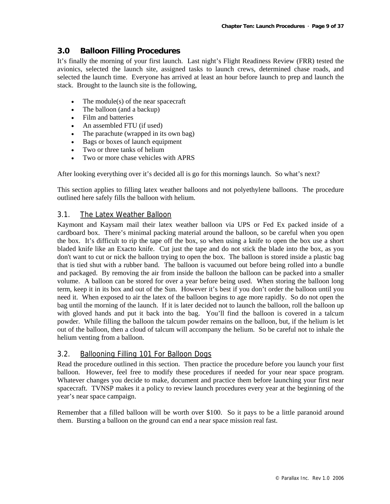## **3.0 Balloon Filling Procedures**

It's finally the morning of your first launch. Last night's Flight Readiness Review (FRR) tested the avionics, selected the launch site, assigned tasks to launch crews, determined chase roads, and selected the launch time. Everyone has arrived at least an hour before launch to prep and launch the stack. Brought to the launch site is the following,

- The module(s) of the near spacecraft
- The balloon (and a backup)
- Film and batteries
- An assembled FTU (if used)
- The parachute (wrapped in its own bag)
- Bags or boxes of launch equipment
- Two or three tanks of helium
- Two or more chase vehicles with APRS

After looking everything over it's decided all is go for this mornings launch. So what's next?

This section applies to filling latex weather balloons and not polyethylene balloons. The procedure outlined here safely fills the balloon with helium.

## 3.1. The Latex Weather Balloon

Kaymont and Kaysam mail their latex weather balloon via UPS or Fed Ex packed inside of a cardboard box. There's minimal packing material around the balloon, so be careful when you open the box. It's difficult to rip the tape off the box, so when using a knife to open the box use a short bladed knife like an Exacto knife. Cut just the tape and do not stick the blade into the box, as you don't want to cut or nick the balloon trying to open the box. The balloon is stored inside a plastic bag that is tied shut with a rubber band. The balloon is vacuumed out before being rolled into a bundle and packaged. By removing the air from inside the balloon the balloon can be packed into a smaller volume. A balloon can be stored for over a year before being used. When storing the balloon long term, keep it in its box and out of the Sun. However it's best if you don't order the balloon until you need it. When exposed to air the latex of the balloon begins to age more rapidly. So do not open the bag until the morning of the launch. If it is later decided not to launch the balloon, roll the balloon up with gloved hands and put it back into the bag. You'll find the balloon is covered in a talcum powder. While filling the balloon the talcum powder remains on the balloon, but, if the helium is let out of the balloon, then a cloud of talcum will accompany the helium. So be careful not to inhale the helium venting from a balloon.

## 3.2. Ballooning Filling 101 For Balloon Dogs

Read the procedure outlined in this section. Then practice the procedure before you launch your first balloon. However, feel free to modify these procedures if needed for your near space program. Whatever changes you decide to make, document and practice them before launching your first near spacecraft. TVNSP makes it a policy to review launch procedures every year at the beginning of the year's near space campaign.

Remember that a filled balloon will be worth over \$100. So it pays to be a little paranoid around them. Bursting a balloon on the ground can end a near space mission real fast.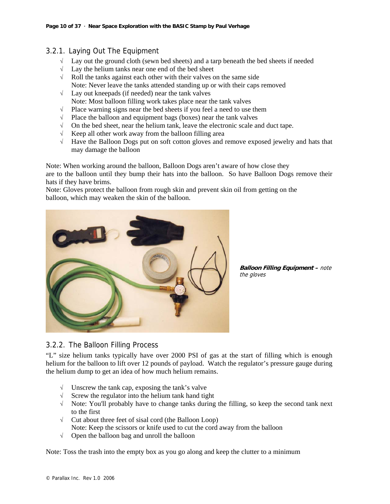## 3.2.1. Laying Out The Equipment

- $\sqrt{\phantom{a}}$  Lay out the ground cloth (sewn bed sheets) and a tarp beneath the bed sheets if needed
- √ Lay the helium tanks near one end of the bed sheet
- √ Roll the tanks against each other with their valves on the same side Note: Never leave the tanks attended standing up or with their caps removed
- $\sqrt{\phantom{a}}$  Lay out kneepads (if needed) near the tank valves Note: Most balloon filling work takes place near the tank valves
- √ Place warning signs near the bed sheets if you feel a need to use them
- √ Place the balloon and equipment bags (boxes) near the tank valves
- $\sqrt{\phantom{a}}$  On the bed sheet, near the helium tank, leave the electronic scale and duct tape.
- $\sqrt{\phantom{a}}$  Keep all other work away from the balloon filling area
- √ Have the Balloon Dogs put on soft cotton gloves and remove exposed jewelry and hats that may damage the balloon

Note: When working around the balloon, Balloon Dogs aren't aware of how close they are to the balloon until they bump their hats into the balloon. So have Balloon Dogs remove their hats if they have brims.

Note: Gloves protect the balloon from rough skin and prevent skin oil from getting on the balloon, which may weaken the skin of the balloon.



**Balloon Filling Equipment –** note the gloves

## 3.2.2. The Balloon Filling Process

"L" size helium tanks typically have over 2000 PSI of gas at the start of filling which is enough helium for the balloon to lift over 12 pounds of payload. Watch the regulator's pressure gauge during the helium dump to get an idea of how much helium remains.

- √ Unscrew the tank cap, exposing the tank's valve
- √ Screw the regulator into the helium tank hand tight
- √ Note: You'll probably have to change tanks during the filling, so keep the second tank next to the first
- √ Cut about three feet of sisal cord (the Balloon Loop) Note: Keep the scissors or knife used to cut the cord away from the balloon
- √ Open the balloon bag and unroll the balloon

Note: Toss the trash into the empty box as you go along and keep the clutter to a minimum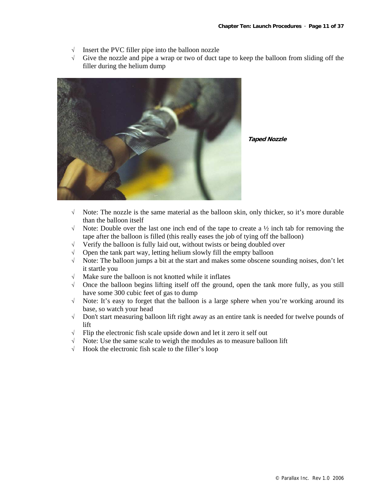- $\sqrt{\phantom{a}}$  Insert the PVC filler pipe into the balloon nozzle
- √ Give the nozzle and pipe a wrap or two of duct tape to keep the balloon from sliding off the filler during the helium dump



**Taped Nozzle**

- √ Note: The nozzle is the same material as the balloon skin, only thicker, so it's more durable than the balloon itself
- $\sqrt{\phantom{a}}$  Note: Double over the last one inch end of the tape to create a  $\frac{1}{2}$  inch tab for removing the tape after the balloon is filled (this really eases the job of tying off the balloon)
- √ Verify the balloon is fully laid out, without twists or being doubled over
- √ Open the tank part way, letting helium slowly fill the empty balloon
- √ Note: The balloon jumps a bit at the start and makes some obscene sounding noises, don't let it startle you
- √ Make sure the balloon is not knotted while it inflates
- $\sqrt{\phantom{a}}$  Once the balloon begins lifting itself off the ground, open the tank more fully, as you still have some 300 cubic feet of gas to dump
- √ Note: It's easy to forget that the balloon is a large sphere when you're working around its base, so watch your head
- √ Don't start measuring balloon lift right away as an entire tank is needed for twelve pounds of lift
- $\sqrt{\phantom{a}}$  Flip the electronic fish scale upside down and let it zero it self out
- √ Note: Use the same scale to weigh the modules as to measure balloon lift
- √ Hook the electronic fish scale to the filler's loop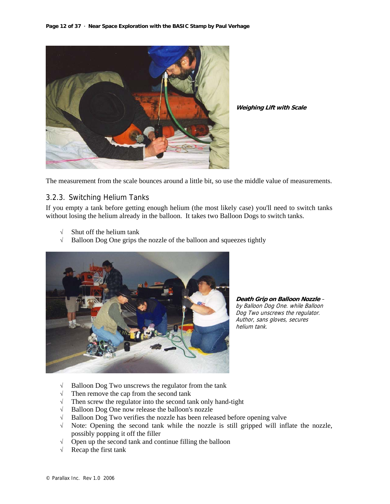

**Weighing Lift with Scale**

The measurement from the scale bounces around a little bit, so use the middle value of measurements.

## 3.2.3. Switching Helium Tanks

If you empty a tank before getting enough helium (the most likely case) you'll need to switch tanks without losing the helium already in the balloon. It takes two Balloon Dogs to switch tanks.

- Shut off the helium tank
- √ Balloon Dog One grips the nozzle of the balloon and squeezes tightly



**Death Grip on Balloon Nozzle** – by Balloon Dog One. while Balloon Dog Two unscrews the regulator. Author, sans gloves, secures helium tank.

- √ Balloon Dog Two unscrews the regulator from the tank
- $\sqrt{\frac{1}{\sqrt{\pi}}}$  Then remove the cap from the second tank
- $\sqrt{\phantom{a}}$  Then screw the regulator into the second tank only hand-tight  $\sqrt{\phantom{a}}$  Balloon Dog One now release the balloon's nozzle
- Balloon Dog One now release the balloon's nozzle
- √ Balloon Dog Two verifies the nozzle has been released before opening valve
- √ Note: Opening the second tank while the nozzle is still gripped will inflate the nozzle, possibly popping it off the filler
- √ Open up the second tank and continue filling the balloon
- $\sqrt{\phantom{a}}$  Recap the first tank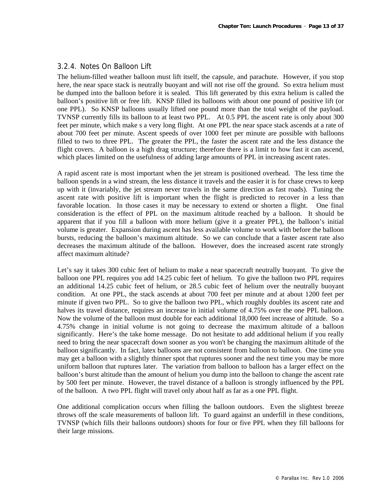## 3.2.4. Notes On Balloon Lift

The helium-filled weather balloon must lift itself, the capsule, and parachute. However, if you stop here, the near space stack is neutrally buoyant and will not rise off the ground. So extra helium must be dumped into the balloon before it is sealed. This lift generated by this extra helium is called the balloon's positive lift or free lift. KNSP filled its balloons with about one pound of positive lift (or one PPL). So KNSP balloons usually lifted one pound more than the total weight of the payload. TVNSP currently fills its balloon to at least two PPL. At 0.5 PPL the ascent rate is only about 300 feet per minute, which make s a very long flight. At one PPL the near space stack ascends at a rate of about 700 feet per minute. Ascent speeds of over 1000 feet per minute are possible with balloons filled to two to three PPL. The greater the PPL, the faster the ascent rate and the less distance the flight covers. A balloon is a high drag structure; therefore there is a limit to how fast it can ascend, which places limited on the usefulness of adding large amounts of PPL in increasing ascent rates.

A rapid ascent rate is most important when the jet stream is positioned overhead. The less time the balloon spends in a wind stream, the less distance it travels and the easier it is for chase crews to keep up with it (invariably, the jet stream never travels in the same direction as fast roads). Tuning the ascent rate with positive lift is important when the flight is predicted to recover in a less than favorable location. In those cases it may be necessary to extend or shorten a flight. One final consideration is the effect of PPL on the maximum altitude reached by a balloon. It should be apparent that if you fill a balloon with more helium (give it a greater PPL), the balloon's initial volume is greater. Expansion during ascent has less available volume to work with before the balloon bursts, reducing the balloon's maximum altitude. So we can conclude that a faster ascent rate also decreases the maximum altitude of the balloon. However, does the increased ascent rate strongly affect maximum altitude?

Let's say it takes 300 cubic feet of helium to make a near spacecraft neutrally buoyant. To give the balloon one PPL requires you add 14.25 cubic feet of helium. To give the balloon two PPL requires an additional 14.25 cubic feet of helium, or 28.5 cubic feet of helium over the neutrally buoyant condition. At one PPL, the stack ascends at about 700 feet per minute and at about 1200 feet per minute if given two PPL. So to give the balloon two PPL, which roughly doubles its ascent rate and halves its travel distance, requires an increase in initial volume of 4.75% over the one PPL balloon. Now the volume of the balloon must double for each additional 18,000 feet increase of altitude. So a 4.75% change in initial volume is not going to decrease the maximum altitude of a balloon significantly. Here's the take home message. Do not hesitate to add additional helium if you really need to bring the near spacecraft down sooner as you won't be changing the maximum altitude of the balloon significantly. In fact, latex balloons are not consistent from balloon to balloon. One time you may get a balloon with a slightly thinner spot that ruptures sooner and the next time you may be more uniform balloon that ruptures later. The variation from balloon to balloon has a larger effect on the balloon's burst altitude than the amount of helium you dump into the balloon to change the ascent rate by 500 feet per minute. However, the travel distance of a balloon is strongly influenced by the PPL of the balloon. A two PPL flight will travel only about half as far as a one PPL flight.

One additional complication occurs when filling the balloon outdoors. Even the slightest breeze throws off the scale measurements of balloon lift. To guard against an underfill in these conditions, TVNSP (which fills their balloons outdoors) shoots for four or five PPL when they fill balloons for their large missions.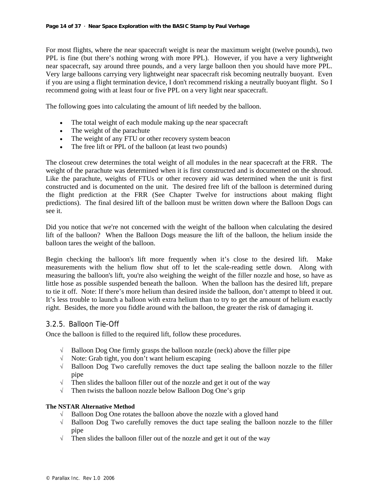For most flights, where the near spacecraft weight is near the maximum weight (twelve pounds), two PPL is fine (but there's nothing wrong with more PPL). However, if you have a very lightweight near spacecraft, say around three pounds, and a very large balloon then you should have more PPL. Very large balloons carrying very lightweight near spacecraft risk becoming neutrally buoyant. Even if you are using a flight termination device, I don't recommend risking a neutrally buoyant flight. So I recommend going with at least four or five PPL on a very light near spacecraft.

The following goes into calculating the amount of lift needed by the balloon.

- The total weight of each module making up the near spacecraft
- The weight of the parachute
- The weight of any FTU or other recovery system beacon
- The free lift or PPL of the balloon (at least two pounds)

The closeout crew determines the total weight of all modules in the near spacecraft at the FRR. The weight of the parachute was determined when it is first constructed and is documented on the shroud. Like the parachute, weights of FTUs or other recovery aid was determined when the unit is first constructed and is documented on the unit. The desired free lift of the balloon is determined during the flight prediction at the FRR (See Chapter Twelve for instructions about making flight predictions). The final desired lift of the balloon must be written down where the Balloon Dogs can see it.

Did you notice that we're not concerned with the weight of the balloon when calculating the desired lift of the balloon? When the Balloon Dogs measure the lift of the balloon, the helium inside the balloon tares the weight of the balloon.

Begin checking the balloon's lift more frequently when it's close to the desired lift. Make measurements with the helium flow shut off to let the scale-reading settle down. Along with measuring the balloon's lift, you're also weighing the weight of the filler nozzle and hose, so have as little hose as possible suspended beneath the balloon. When the balloon has the desired lift, prepare to tie it off. Note: If there's more helium than desired inside the balloon, don't attempt to bleed it out. It's less trouble to launch a balloon with extra helium than to try to get the amount of helium exactly right. Besides, the more you fiddle around with the balloon, the greater the risk of damaging it.

## 3.2.5. Balloon Tie-Off

Once the balloon is filled to the required lift, follow these procedures.

- $\sqrt{\phantom{a}}$  Balloon Dog One firmly grasps the balloon nozzle (neck) above the filler pipe
- √ Note: Grab tight, you don't want helium escaping
- √ Balloon Dog Two carefully removes the duct tape sealing the balloon nozzle to the filler pipe
- √ Then slides the balloon filler out of the nozzle and get it out of the way
- √ Then twists the balloon nozzle below Balloon Dog One's grip

#### **The NSTAR Alternative Method**

- √ Balloon Dog One rotates the balloon above the nozzle with a gloved hand
- $\sqrt{\phantom{a}}$  Balloon Dog Two carefully removes the duct tape sealing the balloon nozzle to the filler pipe
- √ Then slides the balloon filler out of the nozzle and get it out of the way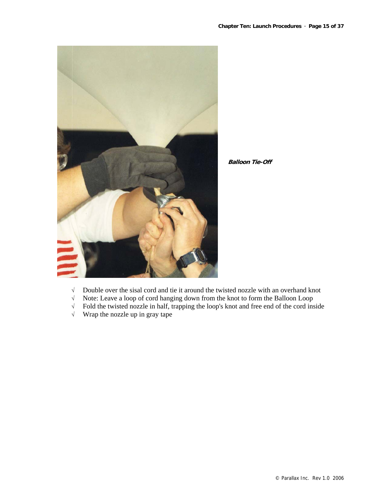



- √ Double over the sisal cord and tie it around the twisted nozzle with an overhand knot
- √ Note: Leave a loop of cord hanging down from the knot to form the Balloon Loop
- Fold the twisted nozzle in half, trapping the loop's knot and free end of the cord inside
- √ Wrap the nozzle up in gray tape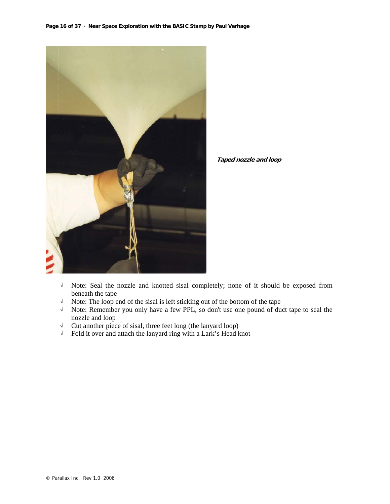

**Taped nozzle and loop**

- √ Note: Seal the nozzle and knotted sisal completely; none of it should be exposed from beneath the tape
- √ Note: The loop end of the sisal is left sticking out of the bottom of the tape
- √ Note: Remember you only have a few PPL, so don't use one pound of duct tape to seal the nozzle and loop
- √ Cut another piece of sisal, three feet long (the lanyard loop)
- √ Fold it over and attach the lanyard ring with a Lark's Head knot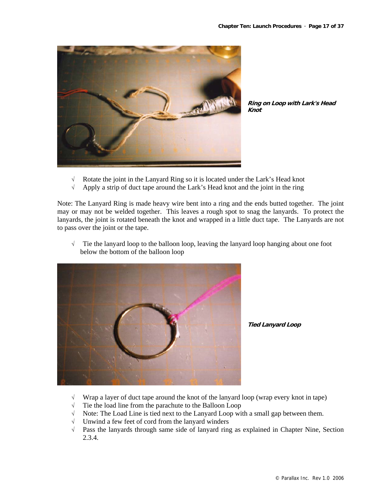

**Ring on Loop with Lark's Head Knot**

- √ Rotate the joint in the Lanyard Ring so it is located under the Lark's Head knot
- √ Apply a strip of duct tape around the Lark's Head knot and the joint in the ring

Note: The Lanyard Ring is made heavy wire bent into a ring and the ends butted together. The joint may or may not be welded together. This leaves a rough spot to snag the lanyards. To protect the lanyards, the joint is rotated beneath the knot and wrapped in a little duct tape. The Lanyards are not to pass over the joint or the tape.

√ Tie the lanyard loop to the balloon loop, leaving the lanyard loop hanging about one foot below the bottom of the balloon loop



**Tied Lanyard Loop**

- √ Wrap a layer of duct tape around the knot of the lanyard loop (wrap every knot in tape)
- √ Tie the load line from the parachute to the Balloon Loop
- √ Note: The Load Line is tied next to the Lanyard Loop with a small gap between them.
- √ Unwind a few feet of cord from the lanyard winders
- √ Pass the lanyards through same side of lanyard ring as explained in Chapter Nine, Section 2.3.4.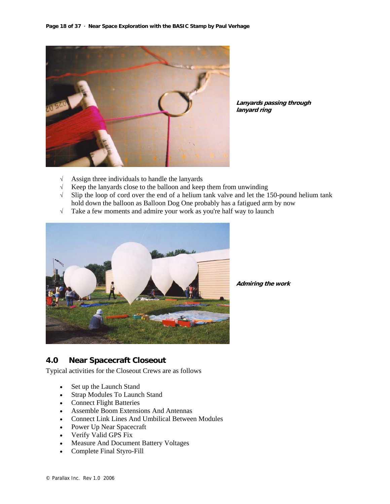

**Lanyards passing through lanyard ring**

- √ Assign three individuals to handle the lanyards
- $\sqrt{\phantom{a}}$  Keep the lanyards close to the balloon and keep them from unwinding  $\sqrt{\phantom{a}}$  Slip the loop of cord over the end of a helium tank valve and let the 1
- Slip the loop of cord over the end of a helium tank valve and let the 150-pound helium tank hold down the balloon as Balloon Dog One probably has a fatigued arm by now
- √ Take a few moments and admire your work as you're half way to launch



**Admiring the work**

## **4.0 Near Spacecraft Closeout**

Typical activities for the Closeout Crews are as follows

- Set up the Launch Stand
- Strap Modules To Launch Stand
- Connect Flight Batteries
- Assemble Boom Extensions And Antennas
- Connect Link Lines And Umbilical Between Modules
- Power Up Near Spacecraft
- Verify Valid GPS Fix
- Measure And Document Battery Voltages
- Complete Final Styro-Fill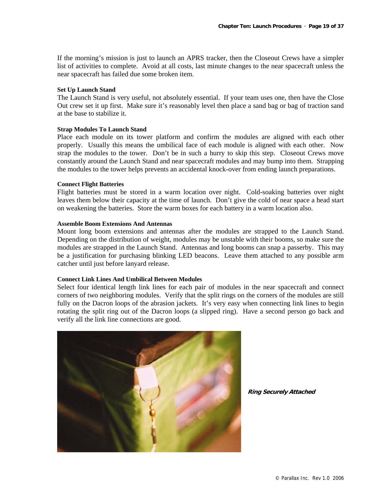If the morning's mission is just to launch an APRS tracker, then the Closeout Crews have a simpler list of activities to complete. Avoid at all costs, last minute changes to the near spacecraft unless the near spacecraft has failed due some broken item.

#### **Set Up Launch Stand**

The Launch Stand is very useful, not absolutely essential. If your team uses one, then have the Close Out crew set it up first. Make sure it's reasonably level then place a sand bag or bag of traction sand at the base to stabilize it.

#### **Strap Modules To Launch Stand**

Place each module on its tower platform and confirm the modules are aligned with each other properly. Usually this means the umbilical face of each module is aligned with each other. Now strap the modules to the tower. Don't be in such a hurry to skip this step. Closeout Crews move constantly around the Launch Stand and near spacecraft modules and may bump into them. Strapping the modules to the tower helps prevents an accidental knock-over from ending launch preparations.

#### **Connect Flight Batteries**

Flight batteries must be stored in a warm location over night. Cold-soaking batteries over night leaves them below their capacity at the time of launch. Don't give the cold of near space a head start on weakening the batteries. Store the warm boxes for each battery in a warm location also.

#### **Assemble Boom Extensions And Antennas**

Mount long boom extensions and antennas after the modules are strapped to the Launch Stand. Depending on the distribution of weight, modules may be unstable with their booms, so make sure the modules are strapped in the Launch Stand. Antennas and long booms can snap a passerby. This may be a justification for purchasing blinking LED beacons. Leave them attached to any possible arm catcher until just before lanyard release.

#### **Connect Link Lines And Umbilical Between Modules**

Select four identical length link lines for each pair of modules in the near spacecraft and connect corners of two neighboring modules. Verify that the split rings on the corners of the modules are still fully on the Dacron loops of the abrasion jackets. It's very easy when connecting link lines to begin rotating the split ring out of the Dacron loops (a slipped ring). Have a second person go back and verify all the link line connections are good.



**Ring Securely Attached**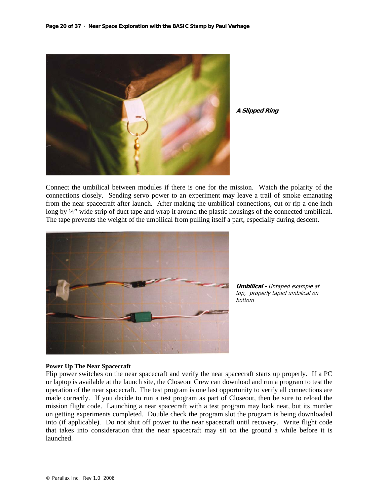

**A Slipped Ring**

Connect the umbilical between modules if there is one for the mission. Watch the polarity of the connections closely. Sending servo power to an experiment may leave a trail of smoke emanating from the near spacecraft after launch. After making the umbilical connections, cut or rip a one inch long by ¼" wide strip of duct tape and wrap it around the plastic housings of the connected umbilical. The tape prevents the weight of the umbilical from pulling itself a part, especially during descent.



**Umbilical -** Untaped example at top, properly taped umbilical on bottom

#### **Power Up The Near Spacecraft**

Flip power switches on the near spacecraft and verify the near spacecraft starts up properly. If a PC or laptop is available at the launch site, the Closeout Crew can download and run a program to test the operation of the near spacecraft. The test program is one last opportunity to verify all connections are made correctly. If you decide to run a test program as part of Closeout, then be sure to reload the mission flight code. Launching a near spacecraft with a test program may look neat, but its murder on getting experiments completed. Double check the program slot the program is being downloaded into (if applicable). Do not shut off power to the near spacecraft until recovery. Write flight code that takes into consideration that the near spacecraft may sit on the ground a while before it is launched.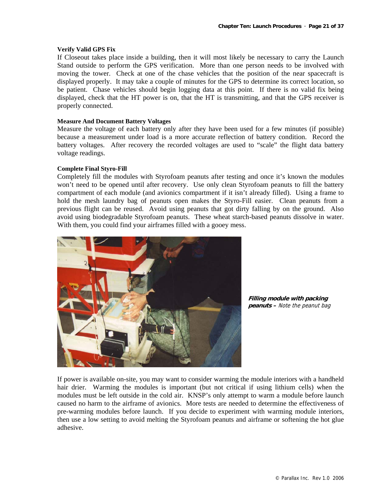#### **Verify Valid GPS Fix**

If Closeout takes place inside a building, then it will most likely be necessary to carry the Launch Stand outside to perform the GPS verification. More than one person needs to be involved with moving the tower. Check at one of the chase vehicles that the position of the near spacecraft is displayed properly. It may take a couple of minutes for the GPS to determine its correct location, so be patient. Chase vehicles should begin logging data at this point. If there is no valid fix being displayed, check that the HT power is on, that the HT is transmitting, and that the GPS receiver is properly connected.

#### **Measure And Document Battery Voltages**

Measure the voltage of each battery only after they have been used for a few minutes (if possible) because a measurement under load is a more accurate reflection of battery condition. Record the battery voltages. After recovery the recorded voltages are used to "scale" the flight data battery voltage readings.

#### **Complete Final Styro-Fill**

Completely fill the modules with Styrofoam peanuts after testing and once it's known the modules won't need to be opened until after recovery. Use only clean Styrofoam peanuts to fill the battery compartment of each module (and avionics compartment if it isn't already filled). Using a frame to hold the mesh laundry bag of peanuts open makes the Styro-Fill easier. Clean peanuts from a previous flight can be reused. Avoid using peanuts that got dirty falling by on the ground. Also avoid using biodegradable Styrofoam peanuts. These wheat starch-based peanuts dissolve in water. With them, you could find your airframes filled with a gooey mess.



**Filling module with packing peanuts –** Note the peanut bag

If power is available on-site, you may want to consider warming the module interiors with a handheld hair drier. Warming the modules is important (but not critical if using lithium cells) when the modules must be left outside in the cold air. KNSP's only attempt to warm a module before launch caused no harm to the airframe of avionics. More tests are needed to determine the effectiveness of pre-warming modules before launch. If you decide to experiment with warming module interiors, then use a low setting to avoid melting the Styrofoam peanuts and airframe or softening the hot glue adhesive.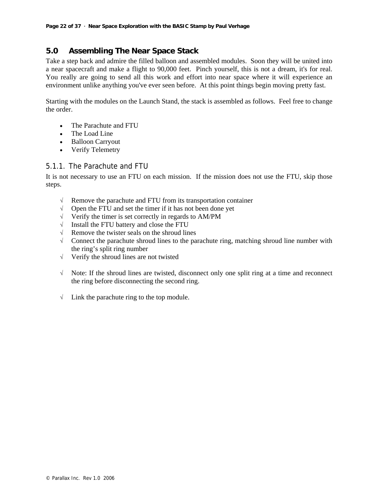## **5.0 Assembling The Near Space Stack**

Take a step back and admire the filled balloon and assembled modules. Soon they will be united into a near spacecraft and make a flight to 90,000 feet. Pinch yourself, this is not a dream, it's for real. You really are going to send all this work and effort into near space where it will experience an environment unlike anything you've ever seen before. At this point things begin moving pretty fast.

Starting with the modules on the Launch Stand, the stack is assembled as follows. Feel free to change the order.

- The Parachute and FTU
- The Load Line
- Balloon Carryout
- Verify Telemetry

## 5.1.1. The Parachute and FTU

It is not necessary to use an FTU on each mission. If the mission does not use the FTU, skip those steps.

- $\sqrt{\phantom{a}}$  Remove the parachute and FTU from its transportation container
- √ Open the FTU and set the timer if it has not been done yet
- √ Verify the timer is set correctly in regards to AM/PM
- √ Install the FTU battery and close the FTU
- √ Remove the twister seals on the shroud lines
- $\sqrt{\phantom{a}}$  Connect the parachute shroud lines to the parachute ring, matching shroud line number with the ring's split ring number
- √ Verify the shroud lines are not twisted
- √ Note: If the shroud lines are twisted, disconnect only one split ring at a time and reconnect the ring before disconnecting the second ring.
- √ Link the parachute ring to the top module.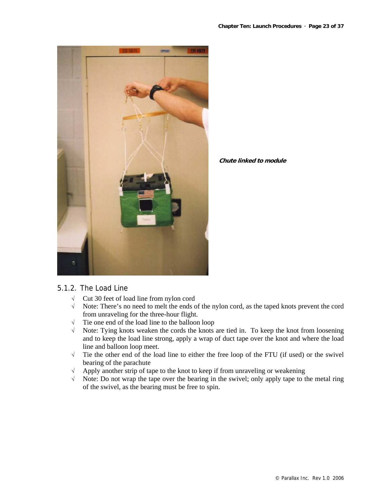

**Chute linked to module**

## 5.1.2. The Load Line

- √ Cut 30 feet of load line from nylon cord
- √ Note: There's no need to melt the ends of the nylon cord, as the taped knots prevent the cord from unraveling for the three-hour flight.
- √ Tie one end of the load line to the balloon loop
- √ Note: Tying knots weaken the cords the knots are tied in. To keep the knot from loosening and to keep the load line strong, apply a wrap of duct tape over the knot and where the load line and balloon loop meet.
- √ Tie the other end of the load line to either the free loop of the FTU (if used) or the swivel bearing of the parachute
- √ Apply another strip of tape to the knot to keep if from unraveling or weakening
- √ Note: Do not wrap the tape over the bearing in the swivel; only apply tape to the metal ring of the swivel, as the bearing must be free to spin.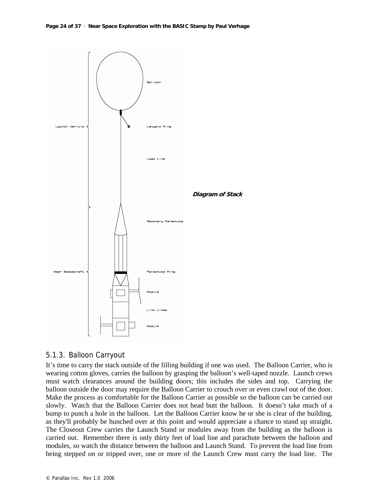

## 5.1.3. Balloon Carryout

It's time to carry the stack outside of the filling building if one was used. The Balloon Carrier, who is wearing cotton gloves, carries the balloon by grasping the balloon's well-taped nozzle. Launch crews must watch clearances around the building doors; this includes the sides and top. Carrying the balloon outside the door may require the Balloon Carrier to crouch over or even crawl out of the door. Make the process as comfortable for the Balloon Carrier as possible so the balloon can be carried out slowly. Watch that the Balloon Carrier does not head butt the balloon. It doesn't take much of a bump to punch a hole in the balloon. Let the Balloon Carrier know he or she is clear of the building, as they'll probably be hunched over at this point and would appreciate a chance to stand up straight. The Closeout Crew carries the Launch Stand or modules away from the building as the balloon is carried out. Remember there is only thirty feet of load line and parachute between the balloon and modules, so watch the distance between the balloon and Launch Stand. To prevent the load line from being stepped on or tripped over, one or more of the Launch Crew must carry the load line. The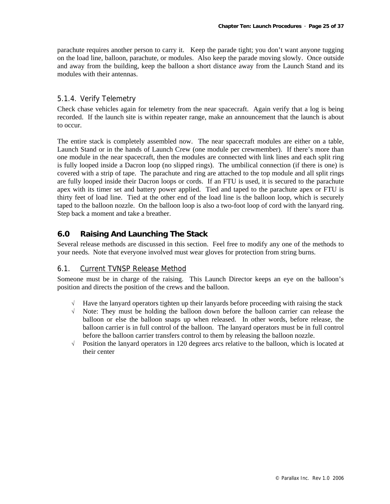parachute requires another person to carry it. Keep the parade tight; you don't want anyone tugging on the load line, balloon, parachute, or modules. Also keep the parade moving slowly. Once outside and away from the building, keep the balloon a short distance away from the Launch Stand and its modules with their antennas.

## 5.1.4. Verify Telemetry

Check chase vehicles again for telemetry from the near spacecraft. Again verify that a log is being recorded. If the launch site is within repeater range, make an announcement that the launch is about to occur.

The entire stack is completely assembled now. The near spacecraft modules are either on a table, Launch Stand or in the hands of Launch Crew (one module per crewmember). If there's more than one module in the near spacecraft, then the modules are connected with link lines and each split ring is fully looped inside a Dacron loop (no slipped rings). The umbilical connection (if there is one) is covered with a strip of tape. The parachute and ring are attached to the top module and all split rings are fully looped inside their Dacron loops or cords. If an FTU is used, it is secured to the parachute apex with its timer set and battery power applied. Tied and taped to the parachute apex or FTU is thirty feet of load line. Tied at the other end of the load line is the balloon loop, which is securely taped to the balloon nozzle. On the balloon loop is also a two-foot loop of cord with the lanyard ring. Step back a moment and take a breather.

## **6.0 Raising And Launching The Stack**

Several release methods are discussed in this section. Feel free to modify any one of the methods to your needs. Note that everyone involved must wear gloves for protection from string burns.

## 6.1. Current TVNSP Release Method

Someone must be in charge of the raising. This Launch Director keeps an eye on the balloon's position and directs the position of the crews and the balloon.

- √ Have the lanyard operators tighten up their lanyards before proceeding with raising the stack
- √ Note: They must be holding the balloon down before the balloon carrier can release the balloon or else the balloon snaps up when released. In other words, before release, the balloon carrier is in full control of the balloon. The lanyard operators must be in full control before the balloon carrier transfers control to them by releasing the balloon nozzle.
- √ Position the lanyard operators in 120 degrees arcs relative to the balloon, which is located at their center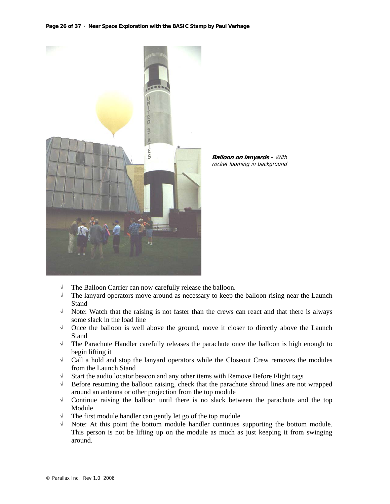#### **Page 26 of 37 · Near Space Exploration with the BASIC Stamp by Paul Verhage**



**Balloon on lanyards –** With rocket looming in background

- √ The Balloon Carrier can now carefully release the balloon.
- $\sqrt{\phantom{a}}$  The lanyard operators move around as necessary to keep the balloon rising near the Launch Stand
- √ Note: Watch that the raising is not faster than the crews can react and that there is always some slack in the load line
- √ Once the balloon is well above the ground, move it closer to directly above the Launch **Stand**
- √ The Parachute Handler carefully releases the parachute once the balloon is high enough to begin lifting it
- √ Call a hold and stop the lanyard operators while the Closeout Crew removes the modules from the Launch Stand
- √ Start the audio locator beacon and any other items with Remove Before Flight tags
- √ Before resuming the balloon raising, check that the parachute shroud lines are not wrapped around an antenna or other projection from the top module
- √ Continue raising the balloon until there is no slack between the parachute and the top Module
- √ The first module handler can gently let go of the top module
- √ Note: At this point the bottom module handler continues supporting the bottom module. This person is not be lifting up on the module as much as just keeping it from swinging around.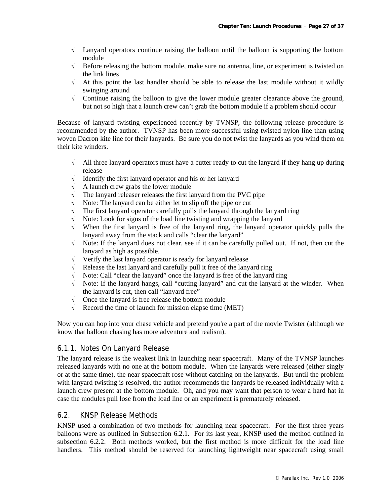- √ Lanyard operators continue raising the balloon until the balloon is supporting the bottom module
- $\sqrt{\phantom{a}}$  Before releasing the bottom module, make sure no antenna, line, or experiment is twisted on the link lines
- $\sqrt{\phantom{a}}$  At this point the last handler should be able to release the last module without it wildly swinging around
- √ Continue raising the balloon to give the lower module greater clearance above the ground, but not so high that a launch crew can't grab the bottom module if a problem should occur

Because of lanyard twisting experienced recently by TVNSP, the following release procedure is recommended by the author. TVNSP has been more successful using twisted nylon line than using woven Dacron kite line for their lanyards. Be sure you do not twist the lanyards as you wind them on their kite winders.

- $\sqrt{\phantom{a}}$  All three lanyard operators must have a cutter ready to cut the lanyard if they hang up during release
- √ Identify the first lanyard operator and his or her lanyard
- √ A launch crew grabs the lower module
- $\sqrt{\phantom{a}}$  The lanyard releaser releases the first lanyard from the PVC pipe
- √ Note: The lanyard can be either let to slip off the pipe or cut
- $\sqrt{\phantom{a}}$  The first lanyard operator carefully pulls the lanyard through the lanyard ring
- √ Note: Look for signs of the load line twisting and wrapping the lanyard
- √ When the first lanyard is free of the lanyard ring, the lanyard operator quickly pulls the lanyard away from the stack and calls "clear the lanyard"
- $\sqrt{\phantom{a}}$  Note: If the lanyard does not clear, see if it can be carefully pulled out. If not, then cut the lanyard as high as possible.
- √ Verify the last lanyard operator is ready for lanyard release
- Release the last lanyard and carefully pull it free of the lanyard ring
- √ Note: Call "clear the lanyard" once the lanyard is free of the lanyard ring
- √ Note: If the lanyard hangs, call "cutting lanyard" and cut the lanyard at the winder. When the lanyard is cut, then call "lanyard free"
- √ Once the lanyard is free release the bottom module
- $\sqrt{\phantom{a}}$  Record the time of launch for mission elapse time (MET)

Now you can hop into your chase vehicle and pretend you're a part of the movie Twister (although we know that balloon chasing has more adventure and realism).

## 6.1.1. Notes On Lanyard Release

The lanyard release is the weakest link in launching near spacecraft. Many of the TVNSP launches released lanyards with no one at the bottom module. When the lanyards were released (either singly or at the same time), the near spacecraft rose without catching on the lanyards. But until the problem with lanyard twisting is resolved, the author recommends the lanyards be released individually with a launch crew present at the bottom module. Oh, and you may want that person to wear a hard hat in case the modules pull lose from the load line or an experiment is prematurely released.

## 6.2. KNSP Release Methods

KNSP used a combination of two methods for launching near spacecraft. For the first three years balloons were as outlined in Subsection 6.2.1. For its last year, KNSP used the method outlined in subsection 6.2.2. Both methods worked, but the first method is more difficult for the load line handlers. This method should be reserved for launching lightweight near spacecraft using small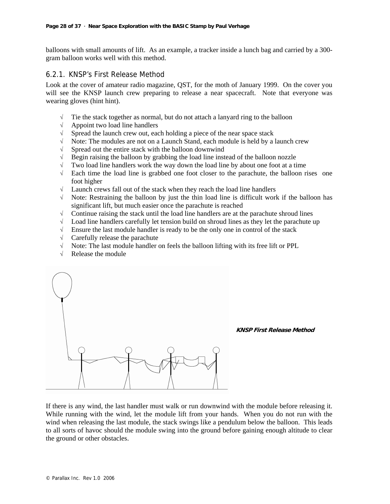balloons with small amounts of lift. As an example, a tracker inside a lunch bag and carried by a 300 gram balloon works well with this method.

## 6.2.1. KNSP's First Release Method

Look at the cover of amateur radio magazine, QST, for the moth of January 1999. On the cover you will see the KNSP launch crew preparing to release a near spacecraft. Note that everyone was wearing gloves (hint hint).

- $\sqrt{\phantom{a}}$  Tie the stack together as normal, but do not attach a lanyard ring to the balloon
- √ Appoint two load line handlers
- √ Spread the launch crew out, each holding a piece of the near space stack
- √ Note: The modules are not on a Launch Stand, each module is held by a launch crew
- √ Spread out the entire stack with the balloon downwind
- √ Begin raising the balloon by grabbing the load line instead of the balloon nozzle
- $\sqrt{\phantom{a}}$  Two load line handlers work the way down the load line by about one foot at a time
- √ Each time the load line is grabbed one foot closer to the parachute, the balloon rises one foot higher
- √ Launch crews fall out of the stack when they reach the load line handlers
- √ Note: Restraining the balloon by just the thin load line is difficult work if the balloon has significant lift, but much easier once the parachute is reached
- √ Continue raising the stack until the load line handlers are at the parachute shroud lines
- $\sqrt{\phantom{a}}$  Load line handlers carefully let tension build on shroud lines as they let the parachute up
- √ Ensure the last module handler is ready to be the only one in control of the stack
- √ Carefully release the parachute
- √ Note: The last module handler on feels the balloon lifting with its free lift or PPL
- √ Release the module



#### **KNSP First Release Method**

If there is any wind, the last handler must walk or run downwind with the module before releasing it. While running with the wind, let the module lift from your hands. When you do not run with the wind when releasing the last module, the stack swings like a pendulum below the balloon. This leads to all sorts of havoc should the module swing into the ground before gaining enough altitude to clear the ground or other obstacles.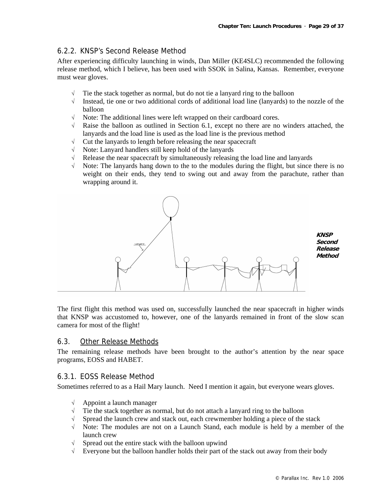## 6.2.2. KNSP's Second Release Method

After experiencing difficulty launching in winds, Dan Miller (KE4SLC) recommended the following release method, which I believe, has been used with SSOK in Salina, Kansas. Remember, everyone must wear gloves.

- $\sqrt{\phantom{a}}$  Tie the stack together as normal, but do not tie a lanyard ring to the balloon
- √ Instead, tie one or two additional cords of additional load line (lanyards) to the nozzle of the balloon
- √ Note: The additional lines were left wrapped on their cardboard cores.
- $\sqrt{\phantom{a}}$  Raise the balloon as outlined in Section 6.1, except no there are no winders attached, the lanyards and the load line is used as the load line is the previous method
- √ Cut the lanyards to length before releasing the near spacecraft
- √ Note: Lanyard handlers still keep hold of the lanyards
- √ Release the near spacecraft by simultaneously releasing the load line and lanyards
- $\sqrt{\phantom{a}}$  Note: The lanyards hang down to the to the modules during the flight, but since there is no weight on their ends, they tend to swing out and away from the parachute, rather than wrapping around it.



**Second Release Method**

The first flight this method was used on, successfully launched the near spacecraft in higher winds that KNSP was accustomed to, however, one of the lanyards remained in front of the slow scan camera for most of the flight!

#### 6.3. Other Release Methods

The remaining release methods have been brought to the author's attention by the near space programs, EOSS and HABET.

#### 6.3.1. EOSS Release Method

Sometimes referred to as a Hail Mary launch. Need I mention it again, but everyone wears gloves.

- √ Appoint a launch manager
- $\sqrt{\phantom{a}}$  Tie the stack together as normal, but do not attach a lanyard ring to the balloon
- Spread the launch crew and stack out, each crewmember holding a piece of the stack
- √ Note: The modules are not on a Launch Stand, each module is held by a member of the launch crew
- $\sqrt{\phantom{a}}$  Spread out the entire stack with the balloon upwind
- √ Everyone but the balloon handler holds their part of the stack out away from their body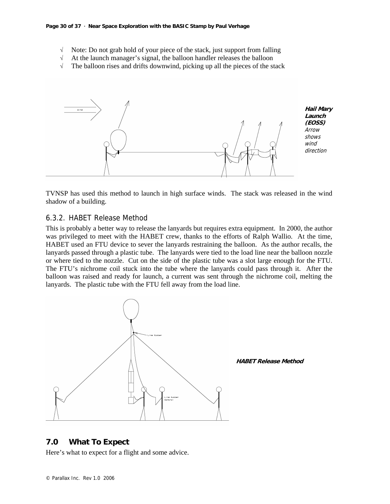- √ Note: Do not grab hold of your piece of the stack, just support from falling
- √ At the launch manager's signal, the balloon handler releases the balloon
- $\sqrt{\phantom{a}}$  The balloon rises and drifts downwind, picking up all the pieces of the stack



TVNSP has used this method to launch in high surface winds. The stack was released in the wind shadow of a building.

## 6.3.2. HABET Release Method

This is probably a better way to release the lanyards but requires extra equipment. In 2000, the author was privileged to meet with the HABET crew, thanks to the efforts of Ralph Wallio. At the time, HABET used an FTU device to sever the lanyards restraining the balloon. As the author recalls, the lanyards passed through a plastic tube. The lanyards were tied to the load line near the balloon nozzle or where tied to the nozzle. Cut on the side of the plastic tube was a slot large enough for the FTU. The FTU's nichrome coil stuck into the tube where the lanyards could pass through it. After the balloon was raised and ready for launch, a current was sent through the nichrome coil, melting the lanyards. The plastic tube with the FTU fell away from the load line.



#### **7.0 What To Expect**

Here's what to expect for a flight and some advice.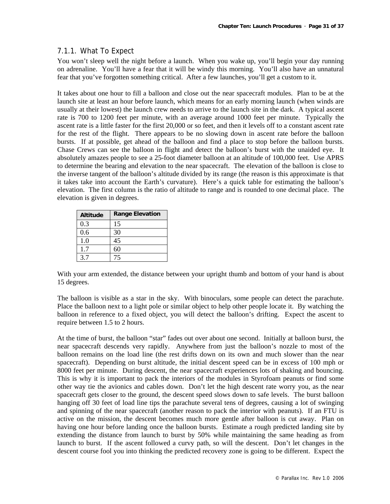## 7.1.1. What To Expect

You won't sleep well the night before a launch. When you wake up, you'll begin your day running on adrenaline. You'll have a fear that it will be windy this morning. You'll also have an unnatural fear that you've forgotten something critical. After a few launches, you'll get a custom to it.

It takes about one hour to fill a balloon and close out the near spacecraft modules. Plan to be at the launch site at least an hour before launch, which means for an early morning launch (when winds are usually at their lowest) the launch crew needs to arrive to the launch site in the dark. A typical ascent rate is 700 to 1200 feet per minute, with an average around 1000 feet per minute. Typically the ascent rate is a little faster for the first 20,000 or so feet, and then it levels off to a constant ascent rate for the rest of the flight. There appears to be no slowing down in ascent rate before the balloon bursts. If at possible, get ahead of the balloon and find a place to stop before the balloon bursts. Chase Crews can see the balloon in flight and detect the balloon's burst with the unaided eye. It absolutely amazes people to see a 25-foot diameter balloon at an altitude of 100,000 feet. Use APRS to determine the bearing and elevation to the near spacecraft. The elevation of the balloon is close to the inverse tangent of the balloon's altitude divided by its range (the reason is this approximate is that it takes take into account the Earth's curvature). Here's a quick table for estimating the balloon's elevation. The first column is the ratio of altitude to range and is rounded to one decimal place. The elevation is given in degrees.

| <b>Altitude</b> | <b>Range Elevation</b> |
|-----------------|------------------------|
| 0.3             | 15                     |
| 0.6             | 30                     |
| 1.0             | 45                     |
| 1.7             | 60                     |
| 35              | 75                     |

With your arm extended, the distance between your upright thumb and bottom of your hand is about 15 degrees.

The balloon is visible as a star in the sky. With binoculars, some people can detect the parachute. Place the balloon next to a light pole or similar object to help other people locate it. By watching the balloon in reference to a fixed object, you will detect the balloon's drifting. Expect the ascent to require between 1.5 to 2 hours.

At the time of burst, the balloon "star" fades out over about one second. Initially at balloon burst, the near spacecraft descends very rapidly. Anywhere from just the balloon's nozzle to most of the balloon remains on the load line (the rest drifts down on its own and much slower than the near spacecraft). Depending on burst altitude, the initial descent speed can be in excess of 100 mph or 8000 feet per minute. During descent, the near spacecraft experiences lots of shaking and bouncing. This is why it is important to pack the interiors of the modules in Styrofoam peanuts or find some other way tie the avionics and cables down. Don't let the high descent rate worry you, as the near spacecraft gets closer to the ground, the descent speed slows down to safe levels. The burst balloon hanging off 30 feet of load line tips the parachute several tens of degrees, causing a lot of swinging and spinning of the near spacecraft (another reason to pack the interior with peanuts). If an FTU is active on the mission, the descent becomes much more gentle after balloon is cut away. Plan on having one hour before landing once the balloon bursts. Estimate a rough predicted landing site by extending the distance from launch to burst by 50% while maintaining the same heading as from launch to burst. If the ascent followed a curvy path, so will the descent. Don't let changes in the descent course fool you into thinking the predicted recovery zone is going to be different. Expect the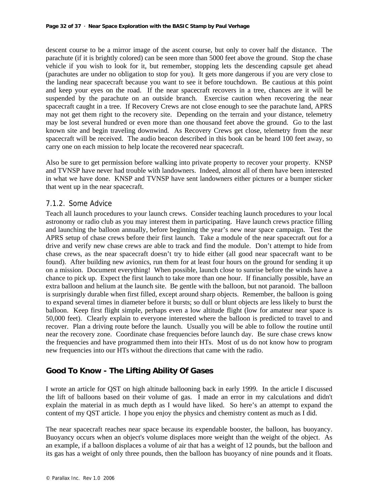descent course to be a mirror image of the ascent course, but only to cover half the distance. The parachute (if it is brightly colored) can be seen more than 5000 feet above the ground. Stop the chase vehicle if you wish to look for it, but remember, stopping lets the descending capsule get ahead (parachutes are under no obligation to stop for you). It gets more dangerous if you are very close to the landing near spacecraft because you want to see it before touchdown. Be cautious at this point and keep your eyes on the road. If the near spacecraft recovers in a tree, chances are it will be suspended by the parachute on an outside branch. Exercise caution when recovering the near spacecraft caught in a tree. If Recovery Crews are not close enough to see the parachute land, APRS may not get them right to the recovery site. Depending on the terrain and your distance, telemetry may be lost several hundred or even more than one thousand feet above the ground. Go to the last known site and begin traveling downwind. As Recovery Crews get close, telemetry from the near spacecraft will be received. The audio beacon described in this book can be heard 100 feet away, so carry one on each mission to help locate the recovered near spacecraft.

Also be sure to get permission before walking into private property to recover your property. KNSP and TVNSP have never had trouble with landowners. Indeed, almost all of them have been interested in what we have done. KNSP and TVNSP have sent landowners either pictures or a bumper sticker that went up in the near spacecraft.

## 7.1.2. Some Advice

Teach all launch procedures to your launch crews. Consider teaching launch procedures to your local astronomy or radio club as you may interest them in participating. Have launch crews practice filling and launching the balloon annually, before beginning the year's new near space campaign. Test the APRS setup of chase crews before their first launch. Take a module of the near spacecraft out for a drive and verify new chase crews are able to track and find the module. Don't attempt to hide from chase crews, as the near spacecraft doesn't try to hide either (all good near spacecraft want to be found). After building new avionics, run them for at least four hours on the ground for sending it up on a mission. Document everything! When possible, launch close to sunrise before the winds have a chance to pick up. Expect the first launch to take more than one hour. If financially possible, have an extra balloon and helium at the launch site. Be gentle with the balloon, but not paranoid. The balloon is surprisingly durable when first filled, except around sharp objects. Remember, the balloon is going to expand several times in diameter before it bursts; so dull or blunt objects are less likely to burst the balloon. Keep first flight simple, perhaps even a low altitude flight (low for amateur near space is 50,000 feet). Clearly explain to everyone interested where the balloon is predicted to travel to and recover. Plan a driving route before the launch. Usually you will be able to follow the routine until near the recovery zone. Coordinate chase frequencies before launch day. Be sure chase crews know the frequencies and have programmed them into their HTs. Most of us do not know how to program new frequencies into our HTs without the directions that came with the radio.

## **Good To Know - The Lifting Ability Of Gases**

I wrote an article for QST on high altitude ballooning back in early 1999. In the article I discussed the lift of balloons based on their volume of gas. I made an error in my calculations and didn't explain the material in as much depth as I would have liked. So here's an attempt to expand the content of my QST article. I hope you enjoy the physics and chemistry content as much as I did.

The near spacecraft reaches near space because its expendable booster, the balloon, has buoyancy. Buoyancy occurs when an object's volume displaces more weight than the weight of the object. As an example, if a balloon displaces a volume of air that has a weight of 12 pounds, but the balloon and its gas has a weight of only three pounds, then the balloon has buoyancy of nine pounds and it floats.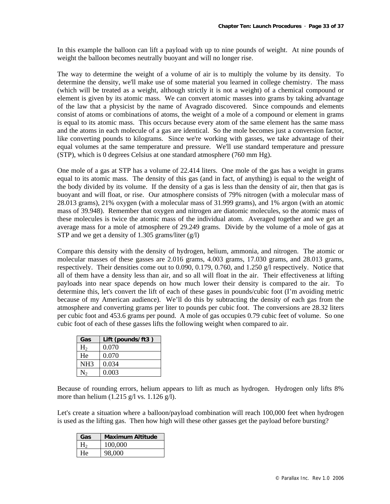In this example the balloon can lift a payload with up to nine pounds of weight. At nine pounds of weight the balloon becomes neutrally buoyant and will no longer rise.

The way to determine the weight of a volume of air is to multiply the volume by its density. To determine the density, we'll make use of some material you learned in college chemistry. The mass (which will be treated as a weight, although strictly it is not a weight) of a chemical compound or element is given by its atomic mass. We can convert atomic masses into grams by taking advantage of the law that a physicist by the name of Avagrado discovered. Since compounds and elements consist of atoms or combinations of atoms, the weight of a mole of a compound or element in grams is equal to its atomic mass. This occurs because every atom of the same element has the same mass and the atoms in each molecule of a gas are identical. So the mole becomes just a conversion factor, like converting pounds to kilograms. Since we're working with gasses, we take advantage of their equal volumes at the same temperature and pressure. We'll use standard temperature and pressure (STP), which is 0 degrees Celsius at one standard atmosphere (760 mm Hg).

One mole of a gas at STP has a volume of 22.414 liters. One mole of the gas has a weight in grams equal to its atomic mass. The density of this gas (and in fact, of anything) is equal to the weight of the body divided by its volume. If the density of a gas is less than the density of air, then that gas is buoyant and will float, or rise. Our atmosphere consists of 79% nitrogen (with a molecular mass of 28.013 grams), 21% oxygen (with a molecular mass of 31.999 grams), and 1% argon (with an atomic mass of 39.948). Remember that oxygen and nitrogen are diatomic molecules, so the atomic mass of these molecules is twice the atomic mass of the individual atom. Averaged together and we get an average mass for a mole of atmosphere of 29.249 grams. Divide by the volume of a mole of gas at STP and we get a density of 1.305 grams/liter  $(g/l)$ 

Compare this density with the density of hydrogen, helium, ammonia, and nitrogen. The atomic or molecular masses of these gasses are 2.016 grams, 4.003 grams, 17.030 grams, and 28.013 grams, respectively. Their densities come out to 0.090, 0.179, 0.760, and 1.250 g/l respectively. Notice that all of them have a density less than air, and so all will float in the air. Their effectiveness at lifting payloads into near space depends on how much lower their density is compared to the air. To determine this, let's convert the lift of each of these gases in pounds/cubic foot (I'm avoiding metric because of my American audience). We'll do this by subtracting the density of each gas from the atmosphere and converting grams per liter to pounds per cubic foot. The conversions are 28.32 liters per cubic foot and 453.6 grams per pound. A mole of gas occupies 0.79 cubic feet of volume. So one cubic foot of each of these gasses lifts the following weight when compared to air.

| Gas             | Lift (pounds/ft3) |
|-----------------|-------------------|
| H <sub>2</sub>  | 0.070             |
| He              | 0.070             |
| NH <sub>3</sub> | 0.034             |
|                 | 0.003             |

Because of rounding errors, helium appears to lift as much as hydrogen. Hydrogen only lifts 8% more than helium  $(1.215 \text{ g/l vs. } 1.126 \text{ g/l}).$ 

Let's create a situation where a balloon/payload combination will reach 100,000 feet when hydrogen is used as the lifting gas. Then how high will these other gasses get the payload before bursting?

| Gas | <b>Maximum Altitude</b> |
|-----|-------------------------|
|     | 100,000                 |
| He  | 98,000                  |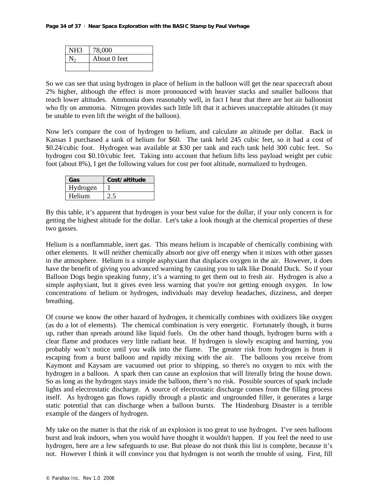| NH3 | 78,000       |
|-----|--------------|
|     | About 0 feet |
|     |              |

So we can see that using hydrogen in place of helium in the balloon will get the near spacecraft about 2% higher, although the effect is more pronounced with heavier stacks and smaller balloons that reach lower altitudes. Ammonia does reasonably well, in fact I hear that there are hot air balloonist who fly on ammonia. Nitrogen provides such little lift that it achieves unacceptable altitudes (it may be unable to even lift the weight of the balloon).

Now let's compare the cost of hydrogen to helium, and calculate an altitude per dollar. Back in Kansas I purchased a tank of helium for \$60. The tank held 245 cubic feet, so it had a cost of \$0.24/cubic foot. Hydrogen was available at \$30 per tank and each tank held 300 cubic feet. So hydrogen cost \$0.10/cubic feet. Taking into account that helium lifts less payload weight per cubic foot (about 8%), I get the following values for cost per foot altitude, normalized to hydrogen.

| Gas      | Cost/altitude |
|----------|---------------|
| Hydrogen |               |
| Helium   |               |

By this table, it's apparent that hydrogen is your best value for the dollar, if your only concern is for getting the highest altitude for the dollar. Let's take a look though at the chemical properties of these two gasses.

Helium is a nonflammable, inert gas. This means helium is incapable of chemically combining with other elements. It will neither chemically absorb nor give off energy when it mixes with other gasses in the atmosphere. Helium is a simple asphyxiant that displaces oxygen in the air. However, it does have the benefit of giving you advanced warning by causing you to talk like Donald Duck. So if your Balloon Dogs begin speaking funny, it's a warning to get them out to fresh air. Hydrogen is also a simple asphyxiant, but it gives even less warning that you're not getting enough oxygen. In low concentrations of helium or hydrogen, individuals may develop headaches, dizziness, and deeper breathing.

Of course we know the other hazard of hydrogen, it chemically combines with oxidizers like oxygen (as do a lot of elements). The chemical combination is very energetic. Fortunately though, it burns up, rather than spreads around like liquid fuels. On the other hand though, hydrogen burns with a clear flame and produces very little radiant heat. If hydrogen is slowly escaping and burning, you probably won't notice until you walk into the flame. The greater risk from hydrogen is from it escaping from a burst balloon and rapidly mixing with the air. The balloons you receive from Kaymont and Kaysam are vacuumed out prior to shipping, so there's no oxygen to mix with the hydrogen in a balloon. A spark then can cause an explosion that will literally bring the house down. So as long as the hydrogen stays inside the balloon, there's no risk. Possible sources of spark include lights and electrostatic discharge. A source of electrostatic discharge comes from the filling process itself. As hydrogen gas flows rapidly through a plastic and ungrounded filler, it generates a large static potential that can discharge when a balloon bursts. The Hindenburg Disaster is a terrible example of the dangers of hydrogen.

My take on the matter is that the risk of an explosion is too great to use hydrogen. I've seen balloons burst and leak indoors, when you would have thought it wouldn't happen. If you feel the need to use hydrogen, here are a few safeguards to use. But please do not think this list is complete, because it's not. However I think it will convince you that hydrogen is not worth the trouble of using. First, fill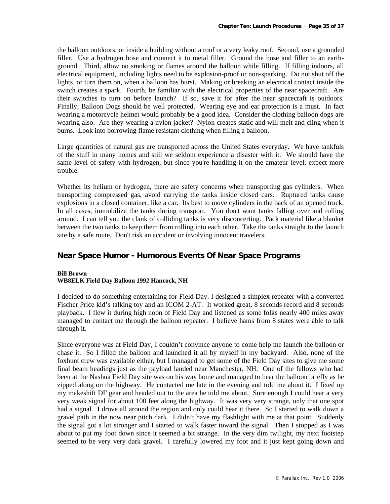the balloon outdoors, or inside a building without a roof or a very leaky roof. Second, use a grounded filler. Use a hydrogen hose and connect it to metal filler. Ground the hose and filler to an earthground. Third, allow no smoking or flames around the balloon while filling. If filling indoors, all electrical equipment, including lights need to be explosion-proof or non-sparking. Do not shut off the lights, or turn them on, when a balloon has burst. Making or breaking an electrical contact inside the switch creates a spark. Fourth, be familiar with the electrical properties of the near spacecraft. Are their switches to turn on before launch? If so, save it for after the near spacecraft is outdoors. Finally, Balloon Dogs should be well protected. Wearing eye and ear protection is a must. In fact wearing a motorcycle helmet would probably be a good idea. Consider the clothing balloon dogs are wearing also. Are they wearing a nylon jacket? Nylon creates static and will melt and cling when it burns. Look into borrowing flame resistant clothing when filling a balloon.

Large quantities of natural gas are transported across the United States everyday. We have tankfuls of the stuff in many homes and still we seldom experience a disaster with it. We should have the same level of safety with hydrogen, but since you're handling it on the amateur level, expect more trouble.

Whether its helium or hydrogen, there are safety concerns when transporting gas cylinders. When transporting compressed gas, avoid carrying the tanks inside closed cars. Ruptured tanks cause explosions in a closed container, like a car. Its best to move cylinders in the back of an opened truck. In all cases, immobilize the tanks during transport. You don't want tanks falling over and rolling around. I can tell you the clank of colliding tanks is very disconcerting. Pack material like a blanket between the two tanks to keep them from rolling into each other. Take the tanks straight to the launch site by a safe route. Don't risk an accident or involving innocent travelers.

## **Near Space Humor - Humorous Events Of Near Space Programs**

#### **Bill Brown**

#### **WB8ELK Field Day Balloon 1992 Hancock, NH**

I decided to do something entertaining for Field Day. I designed a simplex repeater with a converted Fischer Price kid's talking toy and an ICOM 2-AT. It worked great, 8 seconds record and 8 seconds playback. I flew it during high noon of Field Day and listened as some folks nearly 400 miles away managed to contact me through the balloon repeater. I believe hams from 8 states were able to talk through it.

Since everyone was at Field Day, I couldn't convince anyone to come help me launch the balloon or chase it. So I filled the balloon and launched it all by myself in my backyard. Also, none of the foxhunt crew was available either, but I managed to get some of the Field Day sites to give me some final beam headings just as the payload landed near Manchester, NH. One of the fellows who had been at the Nashua Field Day site was on his way home and managed to hear the balloon briefly as he zipped along on the highway. He contacted me late in the evening and told me about it. I fixed up my makeshift DF gear and headed out to the area he told me about. Sure enough I could hear a very very weak signal for about 100 feet along the highway. It was very very strange, only that one spot had a signal. I drove all around the region and only could hear it there. So I started to walk down a gravel path in the now near pitch dark. I didn't have my flashlight with me at that point. Suddenly the signal got a lot stronger and I started to walk faster toward the signal. Then I stopped as I was about to put my foot down since it seemed a bit strange. In the very dim twilight, my next footstep seemed to be very very dark gravel. I carefully lowered my foot and it just kept going down and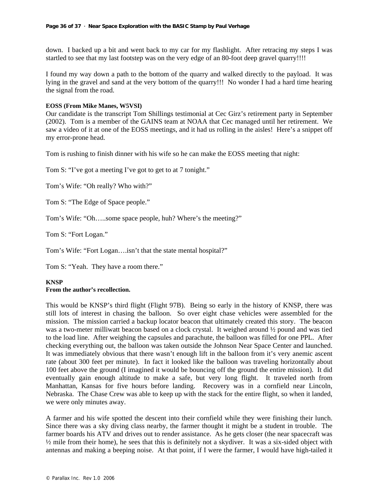down. I backed up a bit and went back to my car for my flashlight. After retracing my steps I was startled to see that my last footstep was on the very edge of an 80-foot deep gravel quarry!!!!

I found my way down a path to the bottom of the quarry and walked directly to the payload. It was lying in the gravel and sand at the very bottom of the quarry!!! No wonder I had a hard time hearing the signal from the road.

#### **EOSS (From Mike Manes, W5VSI)**

Our candidate is the transcript Tom Shillings testimonial at Cec Girz's retirement party in September (2002). Tom is a member of the GAINS team at NOAA that Cec managed until her retirement. We saw a video of it at one of the EOSS meetings, and it had us rolling in the aisles! Here's a snippet off my error-prone head.

Tom is rushing to finish dinner with his wife so he can make the EOSS meeting that night:

Tom S: "I've got a meeting I've got to get to at 7 tonight."

Tom's Wife: "Oh really? Who with?"

Tom S: "The Edge of Space people."

Tom's Wife: "Oh…..some space people, huh? Where's the meeting?"

Tom S: "Fort Logan."

Tom's Wife: "Fort Logan….isn't that the state mental hospital?"

Tom S: "Yeah. They have a room there."

#### **KNSP From the author's recollection.**

This would be KNSP's third flight (Flight 97B). Being so early in the history of KNSP, there was still lots of interest in chasing the balloon. So over eight chase vehicles were assembled for the mission. The mission carried a backup locator beacon that ultimately created this story. The beacon was a two-meter milliwatt beacon based on a clock crystal. It weighed around ½ pound and was tied to the load line. After weighing the capsules and parachute, the balloon was filled for one PPL. After checking everything out, the balloon was taken outside the Johnson Near Space Center and launched. It was immediately obvious that there wasn't enough lift in the balloon from it's very anemic ascent rate (about 300 feet per minute). In fact it looked like the balloon was traveling horizontally about 100 feet above the ground (I imagined it would be bouncing off the ground the entire mission). It did eventually gain enough altitude to make a safe, but very long flight. It traveled north from Manhattan, Kansas for five hours before landing. Recovery was in a cornfield near Lincoln, Nebraska. The Chase Crew was able to keep up with the stack for the entire flight, so when it landed, we were only minutes away.

A farmer and his wife spotted the descent into their cornfield while they were finishing their lunch. Since there was a sky diving class nearby, the farmer thought it might be a student in trouble. The farmer boards his ATV and drives out to render assistance. As he gets closer (the near spacecraft was  $\frac{1}{2}$  mile from their home), he sees that this is definitely not a skydiver. It was a six-sided object with antennas and making a beeping noise. At that point, if I were the farmer, I would have high-tailed it